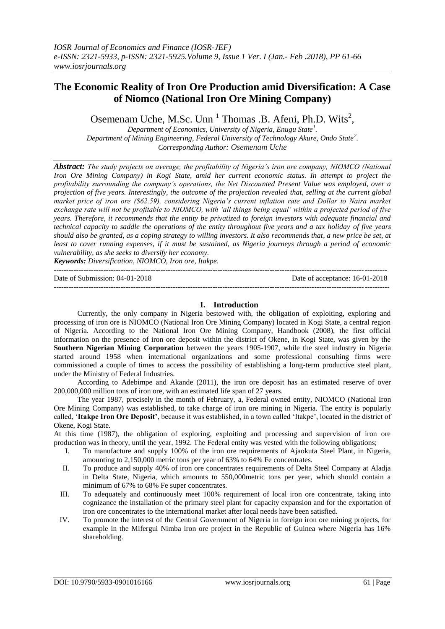# **The Economic Reality of Iron Ore Production amid Diversification: A Case of Niomco (National Iron Ore Mining Company)**

Osemenam Uche, M.Sc. Unn<sup>1</sup> Thomas .B. Afeni, Ph.D. Wits<sup>2</sup>,

*Department of Economics, University of Nigeria, Enugu State<sup>1</sup> . Department of Mining Engineering, Federal University of Technology Akure, Ondo State<sup>2</sup> . Corresponding Author: Osemenam Uche*

*Abstract: The study projects on average, the profitability of Nigeria's iron ore company, NIOMCO (National Iron Ore Mining Company) in Kogi State, amid her current economic status. In attempt to project the profitability surrounding the company's operations, the Net Discounted Present Value was employed, over a projection of five years. Interestingly, the outcome of the projection revealed that, selling at the current global market price of iron ore (\$62.59), considering Nigeria's current inflation rate and Dollar to Naira market exchange rate will not be profitable to NIOMCO, with 'all things being equal' within a projected period of five years. Therefore, it recommends that the entity be privatized to foreign investors with adequate financial and technical capacity to saddle the operations of the entity throughout five years and a tax holiday of five years should also be granted, as a coping strategy to willing investors. It also recommends that, a new price be set, at least to cover running expenses, if it must be sustained, as Nigeria journeys through a period of economic vulnerability, as she seeks to diversify her economy.*

*Keywords: Diversification, NIOMCO, Iron ore, Itakpe.*

Date of Submission: 04-01-2018 Date of acceptance: 16-01-2018

## **I. Introduction**

---------------------------------------------------------------------------------------------------------------------------------------

Currently, the only company in Nigeria bestowed with, the obligation of exploiting, exploring and processing of iron ore is NIOMCO (National Iron Ore Mining Company) located in Kogi State, a central region of Nigeria. According to the National Iron Ore Mining Company, Handbook (2008), the first official information on the presence of iron ore deposit within the district of Okene, in Kogi State, was given by the **Southern Nigerian Mining Corporation** between the years 1905-1907, while the steel industry in Nigeria started around 1958 when international organizations and some professional consulting firms were commissioned a couple of times to access the possibility of establishing a long-term productive steel plant, under the Ministry of Federal Industries.

According to Adebimpe and Akande (2011), the iron ore deposit has an estimated reserve of over 200,000,000 million tons of iron ore, with an estimated life span of 27 years.

The year 1987, precisely in the month of February, a, Federal owned entity, NIOMCO (National Iron Ore Mining Company) was established, to take charge of iron ore mining in Nigeria. The entity is popularly called, '**Itakpe Iron Ore Deposit'**, because it was established, in a town called 'Itakpe', located in the district of Okene, Kogi State.

At this time (1987), the obligation of exploring, exploiting and processing and supervision of iron ore production was in theory, until the year, 1992. The Federal entity was vested with the following obligations;

- I. To manufacture and supply 100% of the iron ore requirements of Ajaokuta Steel Plant, in Nigeria, amounting to 2,150,000 metric tons per year of 63% to 64% Fe concentrates.
- II. To produce and supply 40% of iron ore concentrates requirements of Delta Steel Company at Aladja in Delta State, Nigeria, which amounts to 550,000metric tons per year, which should contain a minimum of 67% to 68% Fe super concentrates.
- III. To adequately and continuously meet 100% requirement of local iron ore concentrate, taking into cognizance the installation of the primary steel plant for capacity expansion and for the exportation of iron ore concentrates to the international market after local needs have been satisfied.
- IV. To promote the interest of the Central Government of Nigeria in foreign iron ore mining projects, for example in the Mifergui Nimba iron ore project in the Republic of Guinea where Nigeria has 16% shareholding.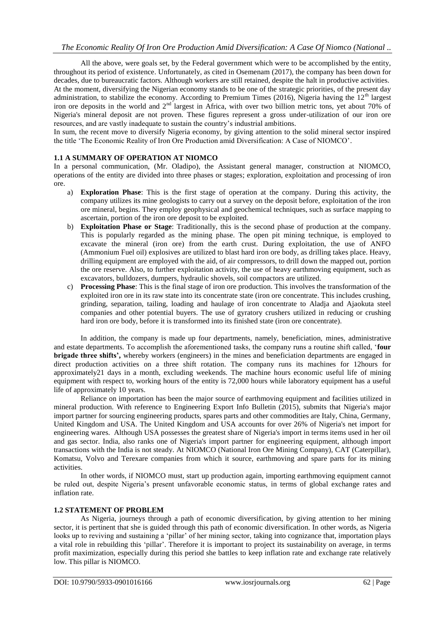All the above, were goals set, by the Federal government which were to be accomplished by the entity, throughout its period of existence. Unfortunately, as cited in Osemenam (2017), the company has been down for decades, due to bureaucratic factors. Although workers are still retained, despite the halt in productive activities. At the moment, diversifying the Nigerian economy stands to be one of the strategic priorities, of the present day administration, to stabilize the economy. According to Premium Times (2016), Nigeria having the  $12<sup>th</sup>$  largest iron ore deposits in the world and 2<sup>nd</sup> largest in Africa, with over two billion metric tons, yet about 70% of Nigeria's mineral deposit are not proven. These figures represent a gross under-utilization of our iron ore resources, and are vastly inadequate to sustain the country's industrial ambitions.

In sum, the recent move to diversify Nigeria economy, by giving attention to the solid mineral sector inspired the title 'The Economic Reality of Iron Ore Production amid Diversification: A Case of NIOMCO'.

## **1.1 A SUMMARY OF OPERATION AT NIOMCO**

In a personal communication, (Mr. Oladipo), the Assistant general manager, construction at NIOMCO, operations of the entity are divided into three phases or stages; exploration, exploitation and processing of iron ore.

- a) **Exploration Phase**: This is the first stage of operation at the company. During this activity, the company utilizes its mine geologists to carry out a survey on the deposit before, exploitation of the iron ore mineral, begins. They employ geophysical and geochemical techniques, such as surface mapping to ascertain, portion of the iron ore deposit to be exploited.
- b) **Exploitation Phase or Stage**: Traditionally, this is the second phase of production at the company. This is popularly regarded as the mining phase. The open pit mining technique, is employed to excavate the mineral (iron ore) from the earth crust. During exploitation, the use of ANFO (Ammonium Fuel oil) explosives are utilized to blast hard iron ore body, as drilling takes place. Heavy, drilling equipment are employed with the aid, of air compressors, to drill down the mapped out, portion the ore reserve. Also, to further exploitation activity, the use of heavy earthmoving equipment, such as excavators, bulldozers, dumpers, hydraulic shovels, soil compactors are utilized.
- c) **Processing Phase**: This is the final stage of iron ore production. This involves the transformation of the exploited iron ore in its raw state into its concentrate state (iron ore concentrate. This includes crushing, grinding, separation, tailing, loading and haulage of iron concentrate to Aladja and Ajaokuta steel companies and other potential buyers. The use of gyratory crushers utilized in reducing or crushing hard iron ore body, before it is transformed into its finished state (iron ore concentrate).

In addition, the company is made up four departments, namely, beneficiation, mines, administrative and estate departments. To accomplish the aforementioned tasks, the company runs a routine shift called, '**four brigade three shifts',** whereby workers (engineers) in the mines and beneficiation departments are engaged in direct production activities on a three shift rotation. The company runs its machines for 12hours for approximately21 days in a month, excluding weekends. The machine hours economic useful life of mining equipment with respect to, working hours of the entity is 72,000 hours while laboratory equipment has a useful life of approximately 10 years.

Reliance on importation has been the major source of earthmoving equipment and facilities utilized in mineral production. With reference to Engineering Export Info Bulletin (2015), submits that Nigeria's major import partner for sourcing engineering products, spares parts and other commodities are Italy, China, Germany, United Kingdom and USA. The United Kingdom and USA accounts for over 26% of Nigeria's net import for engineering wares. Although USA possesses the greatest share of Nigeria's import in terms items used in her oil and gas sector. India, also ranks one of Nigeria's import partner for engineering equipment, although import transactions with the India is not steady. At NIOMCO (National Iron Ore Mining Company), CAT (Caterpillar), Komatsu, Volvo and Terexare companies from which it source, earthmoving and spare parts for its mining activities.

In other words, if NIOMCO must, start up production again, importing earthmoving equipment cannot be ruled out, despite Nigeria's present unfavorable economic status, in terms of global exchange rates and inflation rate.

## **1.2 STATEMENT OF PROBLEM**

As Nigeria, journeys through a path of economic diversification, by giving attention to her mining sector, it is pertinent that she is guided through this path of economic diversification. In other words, as Nigeria looks up to reviving and sustaining a 'pillar' of her mining sector, taking into cognizance that, importation plays a vital role in rebuilding this 'pillar'. Therefore it is important to project its sustainability on average, in terms profit maximization, especially during this period she battles to keep inflation rate and exchange rate relatively low. This pillar is NIOMCO.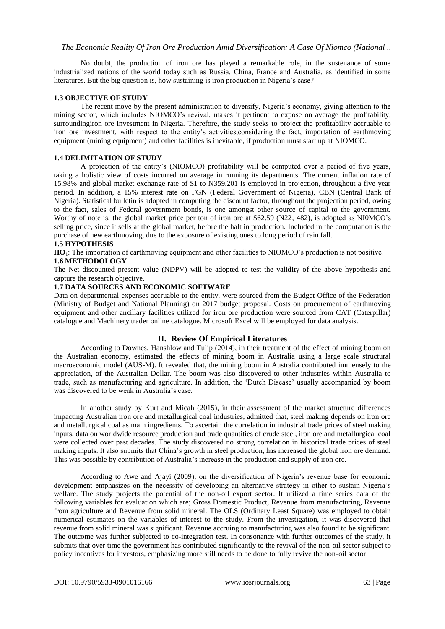No doubt, the production of iron ore has played a remarkable role, in the sustenance of some industrialized nations of the world today such as Russia, China, France and Australia, as identified in some literatures. But the big question is, how sustaining is iron production in Nigeria's case?

## **1.3 OBJECTIVE OF STUDY**

The recent move by the present administration to diversify, Nigeria's economy, giving attention to the mining sector, which includes NIOMCO's revival, makes it pertinent to expose on average the profitability, surroundingiron ore investment in Nigeria. Therefore, the study seeks to project the profitability accruable to iron ore investment, with respect to the entity's activities,considering the fact, importation of earthmoving equipment (mining equipment) and other facilities is inevitable, if production must start up at NIOMCO.

### **1.4 DELIMITATION OF STUDY**

A projection of the entity's (NIOMCO) profitability will be computed over a period of five years, taking a holistic view of costs incurred on average in running its departments. The current inflation rate of 15.98% and global market exchange rate of \$1 to N359.201 is employed in projection, throughout a five year period. In addition, a 15% interest rate on FGN (Federal Government of Nigeria), CBN (Central Bank of Nigeria). Statistical bulletin is adopted in computing the discount factor, throughout the projection period, owing to the fact, sales of Federal government bonds, is one amongst other source of capital to the government. Worthy of note is, the global market price per ton of iron ore at \$62.59 (N22, 482), is adopted as NI0MCO's selling price, since it sells at the global market, before the halt in production. Included in the computation is the purchase of new earthmoving, due to the exposure of existing ones to long period of rain fall.

#### **1.5 HYPOTHESIS**

**HO**1: The importation of earthmoving equipment and other facilities to NIOMCO's production is not positive. **1.6 METHODOLOGY**

The Net discounted present value (NDPV) will be adopted to test the validity of the above hypothesis and capture the research objective.

## **1.7 DATA SOURCES AND ECONOMIC SOFTWARE**

Data on departmental expenses accruable to the entity, were sourced from the Budget Office of the Federation (Ministry of Budget and National Planning) on 2017 budget proposal. Costs on procurement of earthmoving equipment and other ancillary facilities utilized for iron ore production were sourced from CAT (Caterpillar) catalogue and Machinery trader online catalogue. Microsoft Excel will be employed for data analysis.

### **II. Review Of Empirical Literatures**

According to Downes, Hanshlow and Tulip (2014), in their treatment of the effect of mining boom on the Australian economy, estimated the effects of mining boom in Australia using a large scale structural macroeconomic model (AUS-M). It revealed that, the mining boom in Australia contributed immensely to the appreciation, of the Australian Dollar. The boom was also discovered to other industries within Australia to trade, such as manufacturing and agriculture. In addition, the 'Dutch Disease' usually accompanied by boom was discovered to be weak in Australia's case.

In another study by Kurt and Micah (2015), in their assessment of the market structure differences impacting Australian iron ore and metallurgical coal industries, admitted that, steel making depends on iron ore and metallurgical coal as main ingredients. To ascertain the correlation in industrial trade prices of steel making inputs, data on worldwide resource production and trade quantities of crude steel, iron ore and metallurgical coal were collected over past decades. The study discovered no strong correlation in historical trade prices of steel making inputs. It also submits that China's growth in steel production, has increased the global iron ore demand. This was possible by contribution of Australia's increase in the production and supply of iron ore.

According to Awe and Ajayi (2009), on the diversification of Nigeria's revenue base for economic development emphasizes on the necessity of developing an alternative strategy in other to sustain Nigeria's welfare. The study projects the potential of the non-oil export sector. It utilized a time series data of the following variables for evaluation which are; Gross Domestic Product, Revenue from manufacturing, Revenue from agriculture and Revenue from solid mineral. The OLS (Ordinary Least Square) was employed to obtain numerical estimates on the variables of interest to the study. From the investigation, it was discovered that revenue from solid mineral was significant. Revenue accruing to manufacturing was also found to be significant. The outcome was further subjected to co-integration test. In consonance with further outcomes of the study, it submits that over time the government has contributed significantly to the revival of the non-oil sector subject to policy incentives for investors, emphasizing more still needs to be done to fully revive the non-oil sector.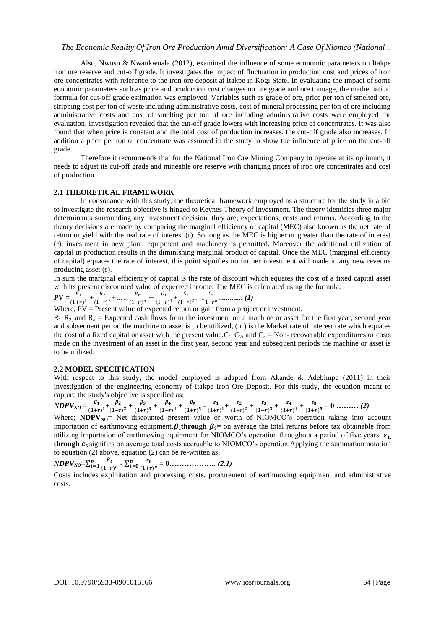Also, Nwosu & Nwankwoala (2012), examined the influence of some economic parameters on Itakpe iron ore reserve and cut-off grade. It investigates the impact of fluctuation in production cost and prices of iron ore concentrates with reference to the iron ore deposit at Itakpe in Kogi State. In evaluating the impact of some economic parameters such as price and production cost changes on ore grade and ore tonnage, the mathematical formula for cut-off grade estimation was employed. Variables such as grade of ore, price per ton of smelted ore, stripping cost per ton of waste including administrative costs, cost of mineral processing per ton of ore including administrative costs and cost of smelting per ton of ore including administrative costs were employed for evaluation. Investigation revealed that the cut-off grade lowers with increasing price of concentrates. It was also found that when price is constant and the total cost of production increases, the cut-off grade also increases. In addition a price per ton of concentrate was assumed in the study to show the influence of price on the cut-off grade.

Therefore it recommends that for the National Iron Ore Mining Company to operate at its optimum, it needs to adjust its cut-off grade and mineable ore reserve with changing prices of iron ore concentrates and cost of production.

#### **2.1 THEORETICAL FRAMEWORK**

In consonance with this study, the theoretical framework employed as a structure for the study in a bid to investigate the research objective is hinged to Keynes Theory of Investment. The theory identifies three major determinants surrounding any investment decision, they are; expectations, costs and returns. According to the theory decisions are made by comparing the marginal efficiency of capital (MEC) also known as the net rate of return or yield with the real rate of interest (r). So long as the MEC is higher or greater than the rate of interest (r), investment in new plant, equipment and machinery is permitted. Moreover the additional utilization of capital in production results in the diminishing marginal product of capital. Once the MEC (marginal efficiency of capital) equates the rate of interest, this point signifies no further investment will made in any new revenue producing asset (s).

In sum the marginal efficiency of capital is the rate of discount which equates the cost of a fixed capital asset with its present discounted value of expected income. The MEC is calculated using the formula;

$$
PV = \frac{R_1}{(1+r)^1} + \frac{R_2}{(1+r)^2} + \dots + \frac{R_n}{(1+r)^n} - \frac{C_1}{(1+r)^1} + \frac{C_2}{(1+r)^2} + \dots + \frac{C_n}{1+r^n} + \dots \dots \dots \dots \tag{1}
$$

Where,  $PV =$  Present value of expected return or gain from a project or investment,

 $R_1$ ,  $R_2$  and  $R_n$  = Expected cash flows from the investment on a machine or asset for the first year, second year and subsequent period the machine or asset is to be utilized,  $(r)$  is the Market rate of interest rate which equates the cost of a fixed capital or asset with the present value. $C_1$ ,  $C_2$ , and  $C_n$  = Non- recoverable expenditures or costs made on the investment of an asset in the first year, second year and subsequent periods the machine or asset is to be utilized.

#### **2.2 MODEL SPECIFICATION**

With respect to this study, the model employed is adapted from Akande & Adebimpe (2011) in their investigation of the engineering economy of Itakpe Iron Ore Deposit. For this study, the equation meant to capture the study's objective is specified as;

$$
NDPV_{NO} = \frac{\beta_1}{(1+r)^1} + \frac{\beta_2}{(1+r)^2} + \frac{\beta_3}{(1+r)^3} + \frac{\beta_4}{(1+r)^4} + \frac{\beta_5}{(1+r)^5} - \frac{\varepsilon_1}{(1+r)^1} + \frac{\varepsilon_2}{(1+r)^2} + \frac{\varepsilon_3}{(1+r)^3} + \frac{\varepsilon_4}{(1+r)^4} + \frac{\varepsilon_5}{(1+r)^5} = 0 \dots \dots \dots (2)
$$

Where; **NDPV**<sub>NO</sub>= Net discounted present value or worth of NIOMCO's operation taking into account importation of earthmoving equipment.  $\beta_1$ through  $\beta_2$  on average the total returns before tax obtainable from utilizing importation of earthmoving equipment for NIOMCO's operation throughout a period of five years.  $\epsilon_1$ **through**  $\epsilon_5$  signifies on average total costs accruable to NIOMCO's operation. Applying the summation notation to equation (2) above, equation (2) can be re-written as;

$$
NDPV_{NO} = \sum_{t=1}^{n} \frac{\beta_t}{(1+r)^n} - \sum_{t=0}^{n} \frac{\varepsilon_t}{(1+r)^n} = 0 \dots \dots \dots \dots \dots \dots \dots \quad (2.1)
$$

Costs includes exploitation and processing costs, procurement of earthmoving equipment and administrative costs.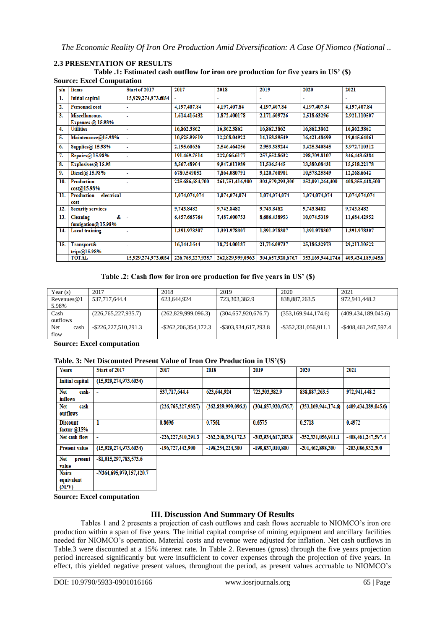#### **2.3 PRESENTATION OF RESULTS Table .1: Estimated cash outflow for iron ore production for five years in US' (\$) Source: Excel Computation**

| s/n | <b>Items</b>                          | Start of 2017       | 2017              | 2018             | 2019              | 2020              | 2021              |  |
|-----|---------------------------------------|---------------------|-------------------|------------------|-------------------|-------------------|-------------------|--|
| ı.  | <b>Initial capital</b>                | 15,929,274,973.6034 | $\overline{a}$    |                  |                   |                   |                   |  |
| 2.  | <b>Personnel cost</b>                 |                     | 4,197,407.84      | 4,197,407.84     | 4,197,407.84      | 4,197,407.84      | 4,197,407.84      |  |
| 3.  | Miscellaneous.                        | ä                   | 1,614.416432      | 1,872.400178     | 2,171.609726      | 2,518.63296       | 2,921.110507      |  |
|     | <b>Expenses</b> @ 15.98%              |                     |                   |                  |                   |                   |                   |  |
| 4.  | <b>Utilities</b>                      |                     | 16,862.3862       | 16,862.3862      | 16,862.3862       | 16,862,3862       | 16,862,3862       |  |
| 5.  | Maintenance@15.98%                    |                     | 10,525.99519      | 12,208.04922     | 14,158.89549      | 16,421.48699      | 19,045.64061      |  |
| 6.  | Supplies $@$ 15.98%                   | ٠                   | 2,195.60636       | 2,546.464256     | 2,953.389244      | 3,425.340845      | 3,972.710312      |  |
| 7.  | Repairs@ 15.98%                       | ä,                  | 191,469.7514      | 222,066.6177     | 257,552.8632      | 298,709.8107      | 346,443.6384      |  |
| 8.  | Explosives@ 15.98                     | ٠                   | 8,567.48904       | 9,947.011989     | 11,536.5445       | 13,380.08431      | 15,518.22178      |  |
| 9.  | Diesel@ 15.98%                        | ۰                   | 6780.549052       | 7,864,080791     | 9,120.760901      | 10.578.25849      | 12,268.6642       |  |
| 10. | Production<br>cost@15.98%             |                     | 225,686,684,700   | 261,751,416,900  | 303,579,293,300   | 352,091,264,400   | 408,355,448,500   |  |
| 11. | electrical<br>Production<br>cost      |                     | 1,074,074,074     | 1,074,074,074    | 1,074,074,074     | 1,074,074,074     | 1,074,074,074     |  |
| 12. | <b>Security services</b>              |                     | 9,743.8482        | 9,743.8482       | 9,743.8482        | 9,743.8482        | 9,743.8482        |  |
| 13. | &.<br>Cleaning<br>fumigation@ 15.98%  |                     | 6,457.665764      | 7,487.600753     | 8,686.438953      | 10,074.5319       | 11,684.42952      |  |
| 14. | <b>Local training</b>                 | ۰                   | 1,391.978307      | 1,391.978307     | 1,391.978307      | 1,391.978307      | 1,391.978307      |  |
| 15. | <b>Transport&amp;</b><br>trips@15.98% | ۰                   | 16,144,1644       | 18,724,00187     | 21,716.09737      | 25,186.32973      | 29.211.10522      |  |
|     | <b>TOTAL</b>                          | 15,929,274,973.6034 | 226,765,227,935.7 | 262,829,999,0963 | 304,657,920,676.7 | 353,169,944,174,6 | 409,434,189,045.6 |  |

## **Table .2: Cash flow for iron ore production for five years in US' (\$)**

| Year $(s)$    | 2017                    | 2018                    | 2019                 | 2020                   | 2021                   |
|---------------|-------------------------|-------------------------|----------------------|------------------------|------------------------|
| Revenues $@1$ | 537,717,644.4           | 623.644.924             | 723,303,382.9        | 838,887,263.5          | 972.941.448.2          |
| 5.98%         |                         |                         |                      |                        |                        |
| Cash          | (226,765,227,935.7)     | (262,829,999,096.3)     | (304,657,920,676.7)  | (353, 169, 944, 174.6) | (409, 434, 189, 045.6) |
| outflows      |                         |                         |                      |                        |                        |
| Net<br>cash   | $-$ \$226,227,510,291.3 | $-$ \$262,206,354,172.3 | -\$303,934,617,293.8 | -\$352,331,056,911.1   | -\$408,461,247,597.4   |
| flow          |                         |                         |                      |                        |                        |

**Source: Excel computation**

#### **Table. 3: Net Discounted Present Value of Iron Ore Production in US'(\$)**

| <b>Years</b>                     | Start of 2017           | 2017                   | 2018                   | 2019                   | 2020                   | 2021                   |
|----------------------------------|-------------------------|------------------------|------------------------|------------------------|------------------------|------------------------|
| <b>Initial capital</b>           | (15,929,274,973.6034)   |                        |                        |                        |                        |                        |
| Net<br>cash-<br><b>inflows</b>   |                         | 537,717,644.4          | 623,644,924            | 723,303,382.9          | 838, 887, 263.5        | 972,941,448.2          |
| Net<br>cash-<br>outflows         |                         | (226, 765, 227, 935.7) | (262, 829, 999, 096.3) | (304, 657, 920, 676.7) | (353, 169, 944, 174.6) | (409, 434, 189, 045.6) |
| <b>Discount</b><br>factor $@15%$ |                         | 0.8696                 | 0.7561                 | 0.6575                 | 0.5718                 | 0.4972                 |
| Net cash flow                    | ٠                       | -226, 227, 510, 291.3  | -262, 206, 354, 172, 3 | -303,934,617,293.8     | -352,331,056,911.1     | -408,461,247,597.4     |
| <b>Present value</b>             | (15,929,274,973.6034)   | -196,727,442,900       | -198,254,224,300       | -199,837,010,800       | -201,462,898,300       | -203,086,932,300       |
| <b>Net</b><br>present<br>value   | $-$1,015,297,783,573.6$ |                        |                        |                        |                        |                        |
| <b>Naira</b><br>aguivalant       | -N364,695,979,157,420.7 |                        |                        |                        |                        |                        |

**Source: Excel computation**

 $\dot{MPV}$ 

## **III. Discussion And Summary Of Results**

Tables 1 and 2 presents a projection of cash outflows and cash flows accruable to NIOMCO's iron ore production within a span of five years. The initial capital comprise of mining equipment and ancillary facilities needed for NIOMCO's operation. Material costs and revenue were adjusted for inflation. Net cash outflows in Table.3 were discounted at a 15% interest rate. In Table 2. Revenues (gross) through the five years projection period increased significantly but were insufficient to cover expenses through the projection of five years. In effect, this yielded negative present values, throughout the period, as present values accruable to NIOMCO's